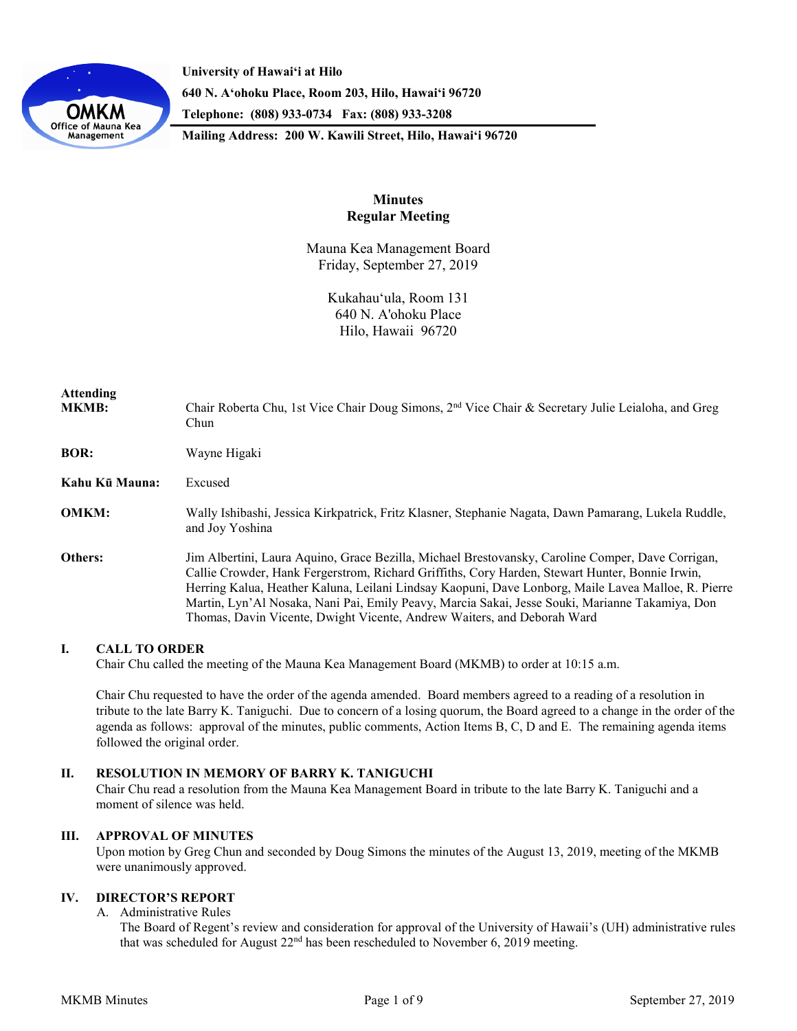

**University of Hawaiʻi at Hilo 640 N. A'ohoku Place, Room 203, Hilo, Hawai'i 96720 Telephone: (808) 933-0734 Fax: (808) 933-3208**

**Mailing Address: 200 W. Kawili Street, Hilo, Hawai'i 96720**

# **Minutes Regular Meeting**

Mauna Kea Management Board Friday, September 27, 2019

> Kukahauʻula, Room 131 640 N. A'ohoku Place Hilo, Hawaii 96720

| <b>Attending</b><br><b>MKMB:</b> | Chair Roberta Chu, 1st Vice Chair Doug Simons, 2 <sup>nd</sup> Vice Chair & Secretary Julie Leialoha, and Greg<br>Chun                                                                                                                                                                                                                                                                                                                                                                    |
|----------------------------------|-------------------------------------------------------------------------------------------------------------------------------------------------------------------------------------------------------------------------------------------------------------------------------------------------------------------------------------------------------------------------------------------------------------------------------------------------------------------------------------------|
| <b>BOR:</b>                      | Wayne Higaki                                                                                                                                                                                                                                                                                                                                                                                                                                                                              |
| Kahu Kū Mauna:                   | Excused                                                                                                                                                                                                                                                                                                                                                                                                                                                                                   |
| <b>OMKM:</b>                     | Wally Ishibashi, Jessica Kirkpatrick, Fritz Klasner, Stephanie Nagata, Dawn Pamarang, Lukela Ruddle,<br>and Joy Yoshina                                                                                                                                                                                                                                                                                                                                                                   |
| Others:                          | Jim Albertini, Laura Aquino, Grace Bezilla, Michael Brestovansky, Caroline Comper, Dave Corrigan,<br>Callie Crowder, Hank Fergerstrom, Richard Griffiths, Cory Harden, Stewart Hunter, Bonnie Irwin,<br>Herring Kalua, Heather Kaluna, Leilani Lindsay Kaopuni, Dave Lonborg, Maile Lavea Malloe, R. Pierre<br>Martin, Lyn'Al Nosaka, Nani Pai, Emily Peavy, Marcia Sakai, Jesse Souki, Marianne Takamiya, Don<br>Thomas, Davin Vicente, Dwight Vicente, Andrew Waiters, and Deborah Ward |

### **I. CALL TO ORDER**

Chair Chu called the meeting of the Mauna Kea Management Board (MKMB) to order at 10:15 a.m.

Chair Chu requested to have the order of the agenda amended. Board members agreed to a reading of a resolution in tribute to the late Barry K. Taniguchi. Due to concern of a losing quorum, the Board agreed to a change in the order of the agenda as follows: approval of the minutes, public comments, Action Items B, C, D and E. The remaining agenda items followed the original order.

# **II. RESOLUTION IN MEMORY OF BARRY K. TANIGUCHI**

Chair Chu read a resolution from the Mauna Kea Management Board in tribute to the late Barry K. Taniguchi and a moment of silence was held.

#### **III. APPROVAL OF MINUTES**

Upon motion by Greg Chun and seconded by Doug Simons the minutes of the August 13, 2019, meeting of the MKMB were unanimously approved.

# **IV. DIRECTOR'S REPORT**

A. Administrative Rules

The Board of Regent's review and consideration for approval of the University of Hawaii's (UH) administrative rules that was scheduled for August 22nd has been rescheduled to November 6, 2019 meeting.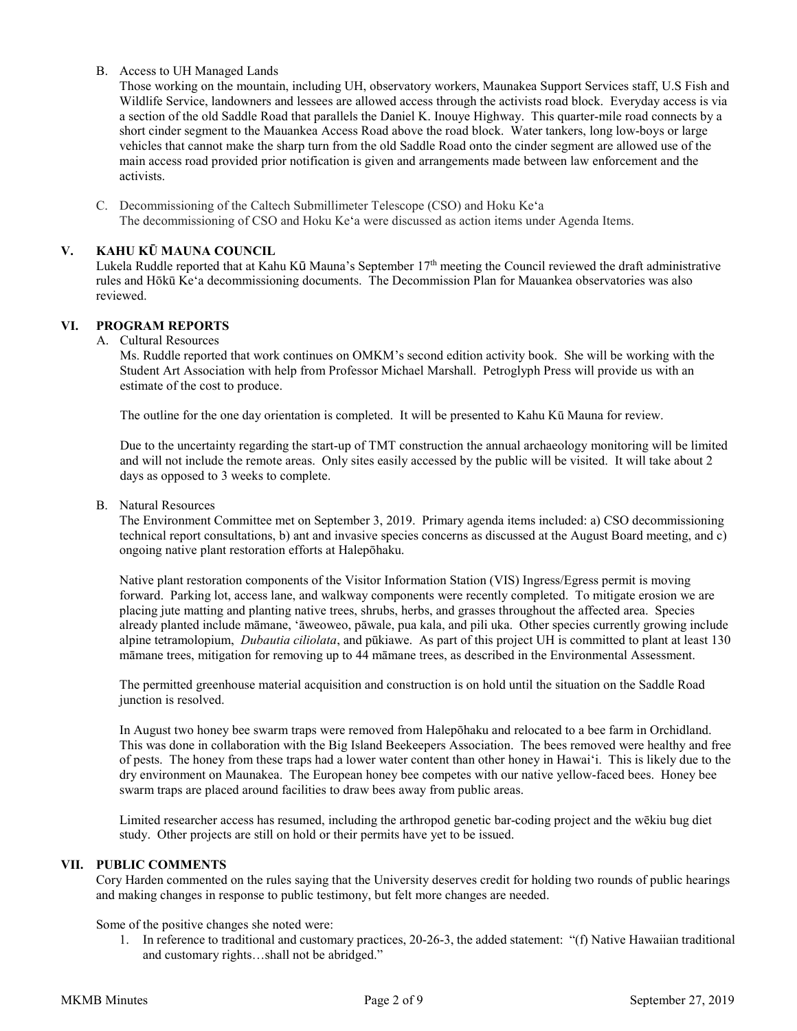B. Access to UH Managed Lands

Those working on the mountain, including UH, observatory workers, Maunakea Support Services staff, U.S Fish and Wildlife Service, landowners and lessees are allowed access through the activists road block. Everyday access is via a section of the old Saddle Road that parallels the Daniel K. Inouye Highway. This quarter-mile road connects by a short cinder segment to the Mauankea Access Road above the road block. Water tankers, long low-boys or large vehicles that cannot make the sharp turn from the old Saddle Road onto the cinder segment are allowed use of the main access road provided prior notification is given and arrangements made between law enforcement and the activists.

C. Decommissioning of the Caltech Submillimeter Telescope (CSO) and Hoku Keʻa The decommissioning of CSO and Hoku Keʻa were discussed as action items under Agenda Items.

# **V. KAHU KŪ MAUNA COUNCIL**

Lukela Ruddle reported that at Kahu Kū Mauna's September 17<sup>th</sup> meeting the Council reviewed the draft administrative rules and Hōkū Keʻa decommissioning documents. The Decommission Plan for Mauankea observatories was also reviewed.

# **VI. PROGRAM REPORTS**

A. Cultural Resources

Ms. Ruddle reported that work continues on OMKM's second edition activity book. She will be working with the Student Art Association with help from Professor Michael Marshall. Petroglyph Press will provide us with an estimate of the cost to produce.

The outline for the one day orientation is completed. It will be presented to Kahu Kū Mauna for review.

Due to the uncertainty regarding the start-up of TMT construction the annual archaeology monitoring will be limited and will not include the remote areas. Only sites easily accessed by the public will be visited. It will take about 2 days as opposed to 3 weeks to complete.

B. Natural Resources

The Environment Committee met on September 3, 2019. Primary agenda items included: a) CSO decommissioning technical report consultations, b) ant and invasive species concerns as discussed at the August Board meeting, and c) ongoing native plant restoration efforts at Halepōhaku.

Native plant restoration components of the Visitor Information Station (VIS) Ingress/Egress permit is moving forward. Parking lot, access lane, and walkway components were recently completed. To mitigate erosion we are placing jute matting and planting native trees, shrubs, herbs, and grasses throughout the affected area. Species already planted include māmane, ʻāweoweo, pāwale, pua kala, and pili uka. Other species currently growing include alpine tetramolopium, *Dubautia ciliolata*, and pūkiawe. As part of this project UH is committed to plant at least 130 māmane trees, mitigation for removing up to 44 māmane trees, as described in the Environmental Assessment.

The permitted greenhouse material acquisition and construction is on hold until the situation on the Saddle Road junction is resolved.

In August two honey bee swarm traps were removed from Halepōhaku and relocated to a bee farm in Orchidland. This was done in collaboration with the Big Island Beekeepers Association. The bees removed were healthy and free of pests. The honey from these traps had a lower water content than other honey in Hawaiʻi. This is likely due to the dry environment on Maunakea. The European honey bee competes with our native yellow-faced bees. Honey bee swarm traps are placed around facilities to draw bees away from public areas.

Limited researcher access has resumed, including the arthropod genetic bar-coding project and the wēkiu bug diet study. Other projects are still on hold or their permits have yet to be issued.

## **VII. PUBLIC COMMENTS**

Cory Harden commented on the rules saying that the University deserves credit for holding two rounds of public hearings and making changes in response to public testimony, but felt more changes are needed.

Some of the positive changes she noted were:

1. In reference to traditional and customary practices, 20-26-3, the added statement: "(f) Native Hawaiian traditional and customary rights…shall not be abridged."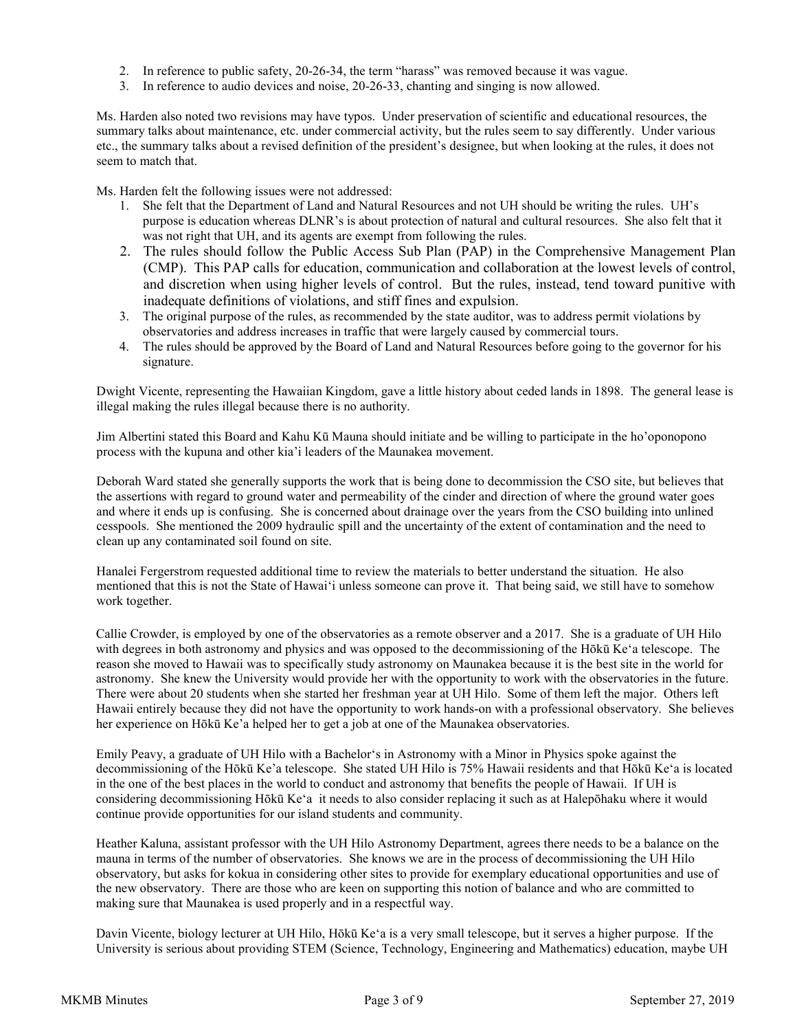- 2. In reference to public safety, 20-26-34, the term "harass" was removed because it was vague.
- 3. In reference to audio devices and noise, 20-26-33, chanting and singing is now allowed.

Ms. Harden also noted two revisions may have typos. Under preservation of scientific and educational resources, the summary talks about maintenance, etc. under commercial activity, but the rules seem to say differently. Under various etc., the summary talks about a revised definition of the president's designee, but when looking at the rules, it does not seem to match that.

Ms. Harden felt the following issues were not addressed:

- 1. She felt that the Department of Land and Natural Resources and not UH should be writing the rules. UH's purpose is education whereas DLNR's is about protection of natural and cultural resources. She also felt that it was not right that UH, and its agents are exempt from following the rules.
- 2. The rules should follow the Public Access Sub Plan (PAP) in the Comprehensive Management Plan (CMP). This PAP calls for education, communication and collaboration at the lowest levels of control, and discretion when using higher levels of control. But the rules, instead, tend toward punitive with inadequate definitions of violations, and stiff fines and expulsion.
- 3. The original purpose of the rules, as recommended by the state auditor, was to address permit violations by observatories and address increases in traffic that were largely caused by commercial tours.
- 4. The rules should be approved by the Board of Land and Natural Resources before going to the governor for his signature.

Dwight Vicente, representing the Hawaiian Kingdom, gave a little history about ceded lands in 1898. The general lease is illegal making the rules illegal because there is no authority.

Jim Albertini stated this Board and Kahu Kū Mauna should initiate and be willing to participate in the ho'oponopono process with the kupuna and other kia'i leaders of the Maunakea movement.

Deborah Ward stated she generally supports the work that is being done to decommission the CSO site, but believes that the assertions with regard to ground water and permeability of the cinder and direction of where the ground water goes and where it ends up is confusing. She is concerned about drainage over the years from the CSO building into unlined cesspools. She mentioned the 2009 hydraulic spill and the uncertainty of the extent of contamination and the need to clean up any contaminated soil found on site.

Hanalei Fergerstrom requested additional time to review the materials to better understand the situation. He also mentioned that this is not the State of Hawai'i unless someone can prove it. That being said, we still have to somehow work together.

Callie Crowder, is employed by one of the observatories as a remote observer and a 2017. She is a graduate of UH Hilo with degrees in both astronomy and physics and was opposed to the decommissioning of the Hōkū Ke<sup>*'a*</sup> telescope. The reason she moved to Hawaii was to specifically study astronomy on Maunakea because it is the best site in the world for astronomy. She knew the University would provide her with the opportunity to work with the observatories in the future. There were about 20 students when she started her freshman year at UH Hilo. Some of them left the major. Others left Hawaii entirely because they did not have the opportunity to work hands-on with a professional observatory. She believes her experience on Hōkū Ke'a helped her to get a job at one of the Maunakea observatories.

Emily Peavy, a graduate of UH Hilo with a Bachelorʻs in Astronomy with a Minor in Physics spoke against the decommissioning of the Hōkū Ke'a telescope. She stated UH Hilo is 75% Hawaii residents and that Hōkū Keʻa is located in the one of the best places in the world to conduct and astronomy that benefits the people of Hawaii. If UH is considering decommissioning Hōkū Keʻa it needs to also consider replacing it such as at Halepōhaku where it would continue provide opportunities for our island students and community.

Heather Kaluna, assistant professor with the UH Hilo Astronomy Department, agrees there needs to be a balance on the mauna in terms of the number of observatories. She knows we are in the process of decommissioning the UH Hilo observatory, but asks for kokua in considering other sites to provide for exemplary educational opportunities and use of the new observatory. There are those who are keen on supporting this notion of balance and who are committed to making sure that Maunakea is used properly and in a respectful way.

Davin Vicente, biology lecturer at UH Hilo, Hōkū Keʻa is a very small telescope, but it serves a higher purpose. If the University is serious about providing STEM (Science, Technology, Engineering and Mathematics) education, maybe UH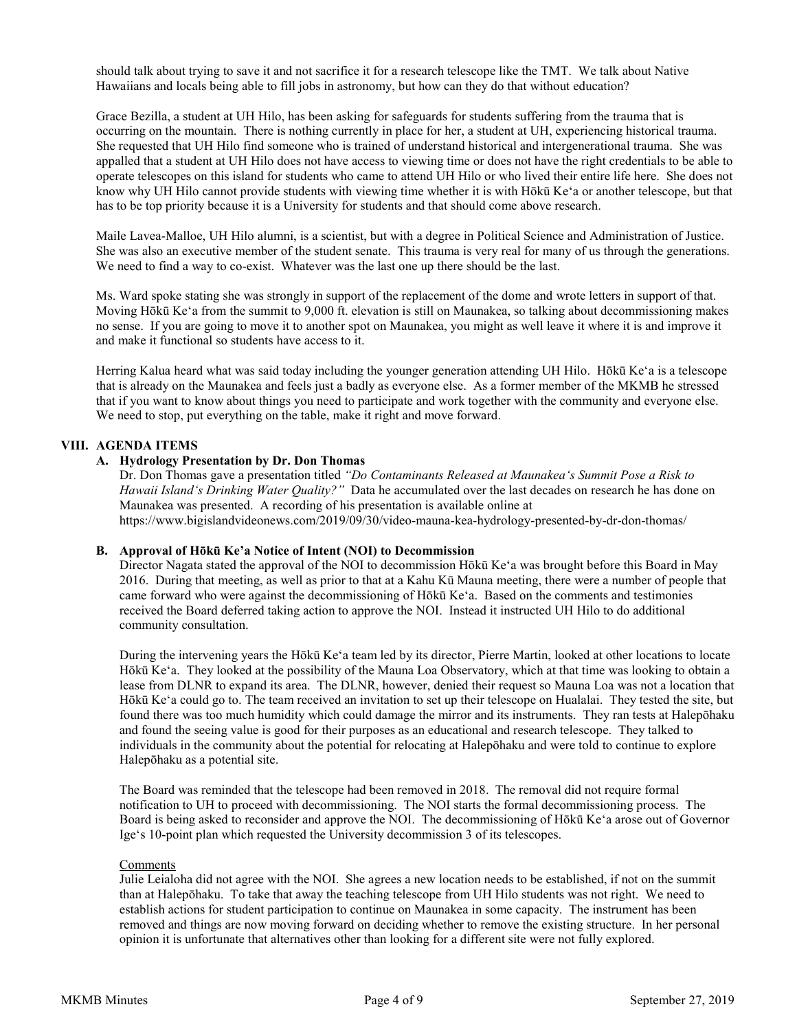should talk about trying to save it and not sacrifice it for a research telescope like the TMT. We talk about Native Hawaiians and locals being able to fill jobs in astronomy, but how can they do that without education?

Grace Bezilla, a student at UH Hilo, has been asking for safeguards for students suffering from the trauma that is occurring on the mountain. There is nothing currently in place for her, a student at UH, experiencing historical trauma. She requested that UH Hilo find someone who is trained of understand historical and intergenerational trauma. She was appalled that a student at UH Hilo does not have access to viewing time or does not have the right credentials to be able to operate telescopes on this island for students who came to attend UH Hilo or who lived their entire life here. She does not know why UH Hilo cannot provide students with viewing time whether it is with Hōkū Keʻa or another telescope, but that has to be top priority because it is a University for students and that should come above research.

Maile Lavea-Malloe, UH Hilo alumni, is a scientist, but with a degree in Political Science and Administration of Justice. She was also an executive member of the student senate. This trauma is very real for many of us through the generations. We need to find a way to co-exist. Whatever was the last one up there should be the last.

Ms. Ward spoke stating she was strongly in support of the replacement of the dome and wrote letters in support of that. Moving Hōkū Keʻa from the summit to 9,000 ft. elevation is still on Maunakea, so talking about decommissioning makes no sense. If you are going to move it to another spot on Maunakea, you might as well leave it where it is and improve it and make it functional so students have access to it.

Herring Kalua heard what was said today including the younger generation attending UH Hilo. Hōkū Keʻa is a telescope that is already on the Maunakea and feels just a badly as everyone else. As a former member of the MKMB he stressed that if you want to know about things you need to participate and work together with the community and everyone else. We need to stop, put everything on the table, make it right and move forward.

### **VIII. AGENDA ITEMS**

### **A. Hydrology Presentation by Dr. Don Thomas**

Dr. Don Thomas gave a presentation titled *"Do Contaminants Released at Maunakeaʻs Summit Pose a Risk to Hawaii Islandʻs Drinking Water Quality?"* Data he accumulated over the last decades on research he has done on Maunakea was presented. A recording of his presentation is available online at https://www.bigislandvideonews.com/2019/09/30/video-mauna-kea-hydrology-presented-by-dr-don-thomas/

#### **B. Approval of Hōkū Ke'a Notice of Intent (NOI) to Decommission**

Director Nagata stated the approval of the NOI to decommission Hōkū Keʻa was brought before this Board in May 2016. During that meeting, as well as prior to that at a Kahu Kū Mauna meeting, there were a number of people that came forward who were against the decommissioning of Hōkū Keʻa. Based on the comments and testimonies received the Board deferred taking action to approve the NOI. Instead it instructed UH Hilo to do additional community consultation.

During the intervening years the Hōkū Keʻa team led by its director, Pierre Martin, looked at other locations to locate Hōkū Keʻa. They looked at the possibility of the Mauna Loa Observatory, which at that time was looking to obtain a lease from DLNR to expand its area. The DLNR, however, denied their request so Mauna Loa was not a location that Hōkū Keʻa could go to. The team received an invitation to set up their telescope on Hualalai. They tested the site, but found there was too much humidity which could damage the mirror and its instruments. They ran tests at Halepōhaku and found the seeing value is good for their purposes as an educational and research telescope. They talked to individuals in the community about the potential for relocating at Halepōhaku and were told to continue to explore Halepōhaku as a potential site.

The Board was reminded that the telescope had been removed in 2018. The removal did not require formal notification to UH to proceed with decommissioning. The NOI starts the formal decommissioning process. The Board is being asked to reconsider and approve the NOI. The decommissioning of Hōkū Keʻa arose out of Governor Igeʻs 10-point plan which requested the University decommission 3 of its telescopes.

#### Comments

Julie Leialoha did not agree with the NOI. She agrees a new location needs to be established, if not on the summit than at Halepōhaku. To take that away the teaching telescope from UH Hilo students was not right. We need to establish actions for student participation to continue on Maunakea in some capacity. The instrument has been removed and things are now moving forward on deciding whether to remove the existing structure. In her personal opinion it is unfortunate that alternatives other than looking for a different site were not fully explored.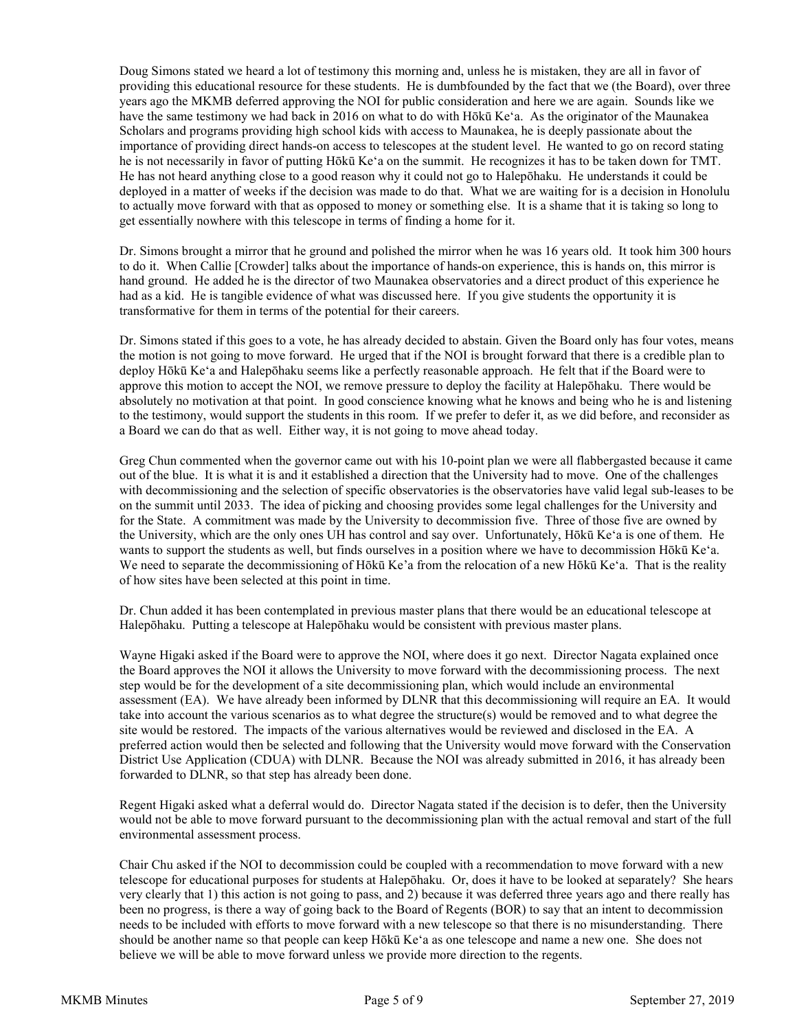Doug Simons stated we heard a lot of testimony this morning and, unless he is mistaken, they are all in favor of providing this educational resource for these students. He is dumbfounded by the fact that we (the Board), over three years ago the MKMB deferred approving the NOI for public consideration and here we are again. Sounds like we have the same testimony we had back in 2016 on what to do with Hōkū Keʻa. As the originator of the Maunakea Scholars and programs providing high school kids with access to Maunakea, he is deeply passionate about the importance of providing direct hands-on access to telescopes at the student level. He wanted to go on record stating he is not necessarily in favor of putting Hōkū Keʻa on the summit. He recognizes it has to be taken down for TMT. He has not heard anything close to a good reason why it could not go to Halepōhaku. He understands it could be deployed in a matter of weeks if the decision was made to do that. What we are waiting for is a decision in Honolulu to actually move forward with that as opposed to money or something else. It is a shame that it is taking so long to get essentially nowhere with this telescope in terms of finding a home for it.

Dr. Simons brought a mirror that he ground and polished the mirror when he was 16 years old. It took him 300 hours to do it. When Callie [Crowder] talks about the importance of hands-on experience, this is hands on, this mirror is hand ground. He added he is the director of two Maunakea observatories and a direct product of this experience he had as a kid. He is tangible evidence of what was discussed here. If you give students the opportunity it is transformative for them in terms of the potential for their careers.

Dr. Simons stated if this goes to a vote, he has already decided to abstain. Given the Board only has four votes, means the motion is not going to move forward. He urged that if the NOI is brought forward that there is a credible plan to deploy Hōkū Keʻa and Halepōhaku seems like a perfectly reasonable approach. He felt that if the Board were to approve this motion to accept the NOI, we remove pressure to deploy the facility at Halepōhaku. There would be absolutely no motivation at that point. In good conscience knowing what he knows and being who he is and listening to the testimony, would support the students in this room. If we prefer to defer it, as we did before, and reconsider as a Board we can do that as well. Either way, it is not going to move ahead today.

Greg Chun commented when the governor came out with his 10-point plan we were all flabbergasted because it came out of the blue. It is what it is and it established a direction that the University had to move. One of the challenges with decommissioning and the selection of specific observatories is the observatories have valid legal sub-leases to be on the summit until 2033. The idea of picking and choosing provides some legal challenges for the University and for the State. A commitment was made by the University to decommission five. Three of those five are owned by the University, which are the only ones UH has control and say over. Unfortunately, Hōkū Keʻa is one of them. He wants to support the students as well, but finds ourselves in a position where we have to decommission Hōkū Ke'a. We need to separate the decommissioning of Hōkū Ke'a from the relocation of a new Hōkū Ke'a. That is the reality of how sites have been selected at this point in time.

Dr. Chun added it has been contemplated in previous master plans that there would be an educational telescope at Halepōhaku. Putting a telescope at Halepōhaku would be consistent with previous master plans.

Wayne Higaki asked if the Board were to approve the NOI, where does it go next. Director Nagata explained once the Board approves the NOI it allows the University to move forward with the decommissioning process. The next step would be for the development of a site decommissioning plan, which would include an environmental assessment (EA). We have already been informed by DLNR that this decommissioning will require an EA. It would take into account the various scenarios as to what degree the structure(s) would be removed and to what degree the site would be restored. The impacts of the various alternatives would be reviewed and disclosed in the EA. A preferred action would then be selected and following that the University would move forward with the Conservation District Use Application (CDUA) with DLNR. Because the NOI was already submitted in 2016, it has already been forwarded to DLNR, so that step has already been done.

Regent Higaki asked what a deferral would do. Director Nagata stated if the decision is to defer, then the University would not be able to move forward pursuant to the decommissioning plan with the actual removal and start of the full environmental assessment process.

Chair Chu asked if the NOI to decommission could be coupled with a recommendation to move forward with a new telescope for educational purposes for students at Halepōhaku. Or, does it have to be looked at separately? She hears very clearly that 1) this action is not going to pass, and 2) because it was deferred three years ago and there really has been no progress, is there a way of going back to the Board of Regents (BOR) to say that an intent to decommission needs to be included with efforts to move forward with a new telescope so that there is no misunderstanding. There should be another name so that people can keep Hōkū Keʻa as one telescope and name a new one. She does not believe we will be able to move forward unless we provide more direction to the regents.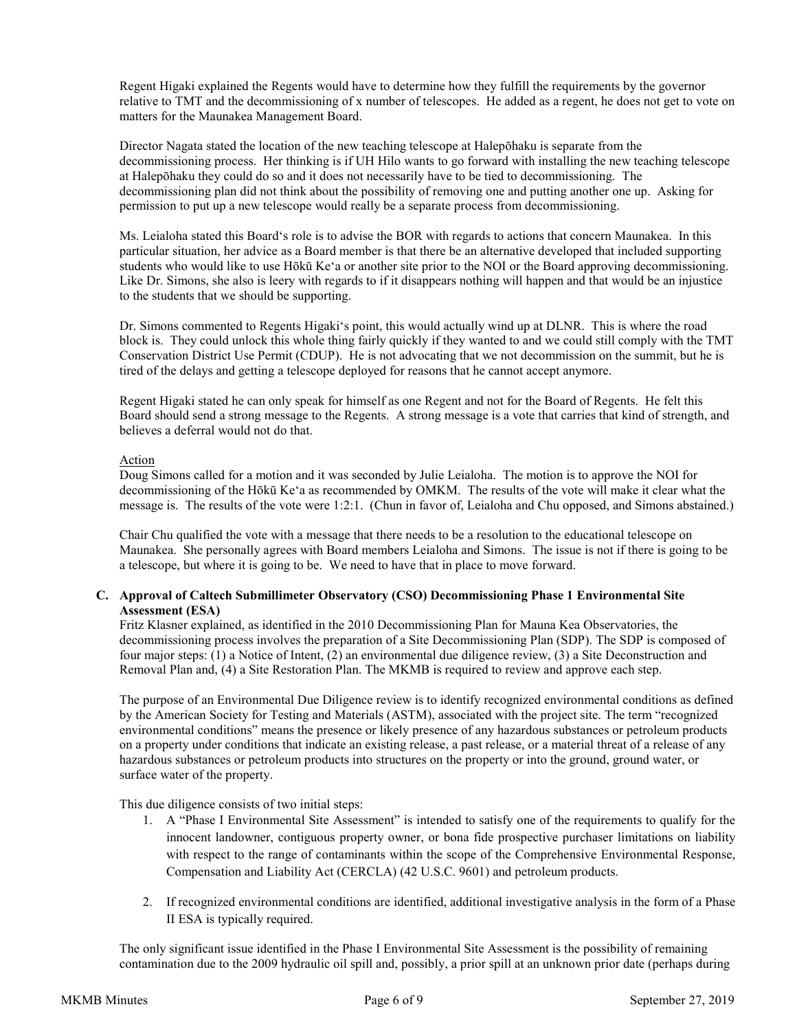Regent Higaki explained the Regents would have to determine how they fulfill the requirements by the governor relative to TMT and the decommissioning of x number of telescopes. He added as a regent, he does not get to vote on matters for the Maunakea Management Board.

Director Nagata stated the location of the new teaching telescope at Halepōhaku is separate from the decommissioning process. Her thinking is if UH Hilo wants to go forward with installing the new teaching telescope at Halepōhaku they could do so and it does not necessarily have to be tied to decommissioning. The decommissioning plan did not think about the possibility of removing one and putting another one up. Asking for permission to put up a new telescope would really be a separate process from decommissioning.

Ms. Leialoha stated this Boardʻs role is to advise the BOR with regards to actions that concern Maunakea. In this particular situation, her advice as a Board member is that there be an alternative developed that included supporting students who would like to use Hōkū Keʻa or another site prior to the NOI or the Board approving decommissioning. Like Dr. Simons, she also is leery with regards to if it disappears nothing will happen and that would be an injustice to the students that we should be supporting.

Dr. Simons commented to Regents Higakiʻs point, this would actually wind up at DLNR. This is where the road block is. They could unlock this whole thing fairly quickly if they wanted to and we could still comply with the TMT Conservation District Use Permit (CDUP). He is not advocating that we not decommission on the summit, but he is tired of the delays and getting a telescope deployed for reasons that he cannot accept anymore.

Regent Higaki stated he can only speak for himself as one Regent and not for the Board of Regents. He felt this Board should send a strong message to the Regents. A strong message is a vote that carries that kind of strength, and believes a deferral would not do that.

### Action

Doug Simons called for a motion and it was seconded by Julie Leialoha. The motion is to approve the NOI for decommissioning of the Hōkū Keʻa as recommended by OMKM. The results of the vote will make it clear what the message is. The results of the vote were 1:2:1. (Chun in favor of, Leialoha and Chu opposed, and Simons abstained.)

Chair Chu qualified the vote with a message that there needs to be a resolution to the educational telescope on Maunakea. She personally agrees with Board members Leialoha and Simons. The issue is not if there is going to be a telescope, but where it is going to be. We need to have that in place to move forward.

### **C. Approval of Caltech Submillimeter Observatory (CSO) Decommissioning Phase 1 Environmental Site Assessment (ESA)**

Fritz Klasner explained, as identified in the 2010 Decommissioning Plan for Mauna Kea Observatories, the decommissioning process involves the preparation of a Site Decommissioning Plan (SDP). The SDP is composed of four major steps: (1) a Notice of Intent, (2) an environmental due diligence review, (3) a Site Deconstruction and Removal Plan and, (4) a Site Restoration Plan. The MKMB is required to review and approve each step.

The purpose of an Environmental Due Diligence review is to identify recognized environmental conditions as defined by the American Society for Testing and Materials (ASTM), associated with the project site. The term "recognized environmental conditions" means the presence or likely presence of any hazardous substances or petroleum products on a property under conditions that indicate an existing release, a past release, or a material threat of a release of any hazardous substances or petroleum products into structures on the property or into the ground, ground water, or surface water of the property.

This due diligence consists of two initial steps:

- 1. A "Phase I Environmental Site Assessment" is intended to satisfy one of the requirements to qualify for the innocent landowner, contiguous property owner, or bona fide prospective purchaser limitations on liability with respect to the range of contaminants within the scope of the Comprehensive Environmental Response, Compensation and Liability Act (CERCLA) (42 U.S.C. 9601) and petroleum products.
- 2. If recognized environmental conditions are identified, additional investigative analysis in the form of a Phase II ESA is typically required.

The only significant issue identified in the Phase I Environmental Site Assessment is the possibility of remaining contamination due to the 2009 hydraulic oil spill and, possibly, a prior spill at an unknown prior date (perhaps during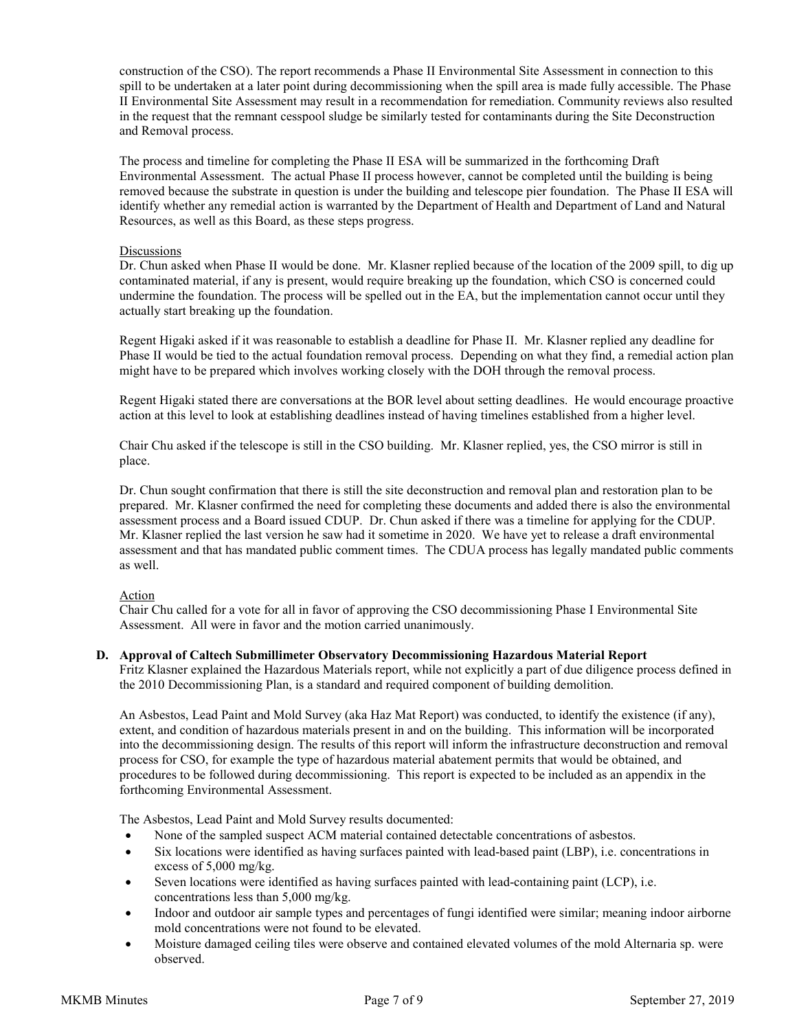construction of the CSO). The report recommends a Phase II Environmental Site Assessment in connection to this spill to be undertaken at a later point during decommissioning when the spill area is made fully accessible. The Phase II Environmental Site Assessment may result in a recommendation for remediation. Community reviews also resulted in the request that the remnant cesspool sludge be similarly tested for contaminants during the Site Deconstruction and Removal process.

The process and timeline for completing the Phase II ESA will be summarized in the forthcoming Draft Environmental Assessment. The actual Phase II process however, cannot be completed until the building is being removed because the substrate in question is under the building and telescope pier foundation. The Phase II ESA will identify whether any remedial action is warranted by the Department of Health and Department of Land and Natural Resources, as well as this Board, as these steps progress.

#### **Discussions**

Dr. Chun asked when Phase II would be done. Mr. Klasner replied because of the location of the 2009 spill, to dig up contaminated material, if any is present, would require breaking up the foundation, which CSO is concerned could undermine the foundation. The process will be spelled out in the EA, but the implementation cannot occur until they actually start breaking up the foundation.

Regent Higaki asked if it was reasonable to establish a deadline for Phase II. Mr. Klasner replied any deadline for Phase II would be tied to the actual foundation removal process. Depending on what they find, a remedial action plan might have to be prepared which involves working closely with the DOH through the removal process.

Regent Higaki stated there are conversations at the BOR level about setting deadlines. He would encourage proactive action at this level to look at establishing deadlines instead of having timelines established from a higher level.

Chair Chu asked if the telescope is still in the CSO building. Mr. Klasner replied, yes, the CSO mirror is still in place.

Dr. Chun sought confirmation that there is still the site deconstruction and removal plan and restoration plan to be prepared. Mr. Klasner confirmed the need for completing these documents and added there is also the environmental assessment process and a Board issued CDUP. Dr. Chun asked if there was a timeline for applying for the CDUP. Mr. Klasner replied the last version he saw had it sometime in 2020. We have yet to release a draft environmental assessment and that has mandated public comment times. The CDUA process has legally mandated public comments as well.

### Action

Chair Chu called for a vote for all in favor of approving the CSO decommissioning Phase I Environmental Site Assessment. All were in favor and the motion carried unanimously.

#### **D. Approval of Caltech Submillimeter Observatory Decommissioning Hazardous Material Report**

Fritz Klasner explained the Hazardous Materials report, while not explicitly a part of due diligence process defined in the 2010 Decommissioning Plan, is a standard and required component of building demolition.

An Asbestos, Lead Paint and Mold Survey (aka Haz Mat Report) was conducted, to identify the existence (if any), extent, and condition of hazardous materials present in and on the building. This information will be incorporated into the decommissioning design. The results of this report will inform the infrastructure deconstruction and removal process for CSO, for example the type of hazardous material abatement permits that would be obtained, and procedures to be followed during decommissioning. This report is expected to be included as an appendix in the forthcoming Environmental Assessment.

The Asbestos, Lead Paint and Mold Survey results documented:

- None of the sampled suspect ACM material contained detectable concentrations of asbestos.
- Six locations were identified as having surfaces painted with lead-based paint (LBP), i.e. concentrations in excess of 5,000 mg/kg.
- Seven locations were identified as having surfaces painted with lead-containing paint (LCP), i.e. concentrations less than 5,000 mg/kg.
- Indoor and outdoor air sample types and percentages of fungi identified were similar; meaning indoor airborne mold concentrations were not found to be elevated.
- Moisture damaged ceiling tiles were observe and contained elevated volumes of the mold Alternaria sp. were observed.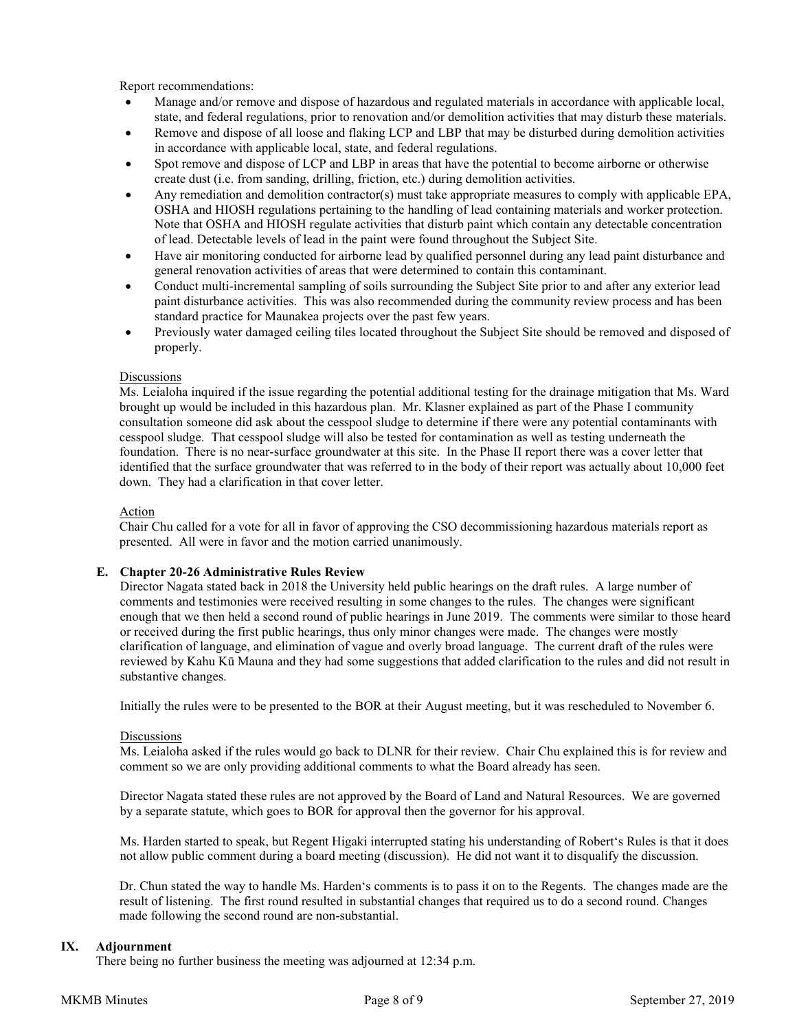Report recommendations:

- Manage and/or remove and dispose of hazardous and regulated materials in accordance with applicable local, state, and federal regulations, prior to renovation and/or demolition activities that may disturb these materials.
- Remove and dispose of all loose and flaking LCP and LBP that may be disturbed during demolition activities in accordance with applicable local, state, and federal regulations.
- Spot remove and dispose of LCP and LBP in areas that have the potential to become airborne or otherwise create dust (i.e. from sanding, drilling, friction, etc.) during demolition activities.
- Any remediation and demolition contractor(s) must take appropriate measures to comply with applicable EPA, OSHA and HIOSH regulations pertaining to the handling of lead containing materials and worker protection. Note that OSHA and HIOSH regulate activities that disturb paint which contain any detectable concentration of lead. Detectable levels of lead in the paint were found throughout the Subject Site.
- Have air monitoring conducted for airborne lead by qualified personnel during any lead paint disturbance and general renovation activities of areas that were determined to contain this contaminant.
- Conduct multi-incremental sampling of soils surrounding the Subject Site prior to and after any exterior lead paint disturbance activities. This was also recommended during the community review process and has been standard practice for Maunakea projects over the past few years.
- Previously water damaged ceiling tiles located throughout the Subject Site should be removed and disposed of properly.

### **Discussions**

Ms. Leialoha inquired if the issue regarding the potential additional testing for the drainage mitigation that Ms. Ward brought up would be included in this hazardous plan. Mr. Klasner explained as part of the Phase I community consultation someone did ask about the cesspool sludge to determine if there were any potential contaminants with cesspool sludge. That cesspool sludge will also be tested for contamination as well as testing underneath the foundation. There is no near-surface groundwater at this site. In the Phase II report there was a cover letter that identified that the surface groundwater that was referred to in the body of their report was actually about 10,000 feet down. They had a clarification in that cover letter.

#### Action

Chair Chu called for a vote for all in favor of approving the CSO decommissioning hazardous materials report as presented. All were in favor and the motion carried unanimously.

#### **E. Chapter 20-26 Administrative Rules Review**

Director Nagata stated back in 2018 the University held public hearings on the draft rules. A large number of comments and testimonies were received resulting in some changes to the rules. The changes were significant enough that we then held a second round of public hearings in June 2019. The comments were similar to those heard or received during the first public hearings, thus only minor changes were made. The changes were mostly clarification of language, and elimination of vague and overly broad language. The current draft of the rules were reviewed by Kahu Kū Mauna and they had some suggestions that added clarification to the rules and did not result in substantive changes.

Initially the rules were to be presented to the BOR at their August meeting, but it was rescheduled to November 6.

#### **Discussions**

Ms. Leialoha asked if the rules would go back to DLNR for their review. Chair Chu explained this is for review and comment so we are only providing additional comments to what the Board already has seen.

Director Nagata stated these rules are not approved by the Board of Land and Natural Resources. We are governed by a separate statute, which goes to BOR for approval then the governor for his approval.

Ms. Harden started to speak, but Regent Higaki interrupted stating his understanding of Robertʻs Rules is that it does not allow public comment during a board meeting (discussion). He did not want it to disqualify the discussion.

Dr. Chun stated the way to handle Ms. Hardenʻs comments is to pass it on to the Regents. The changes made are the result of listening. The first round resulted in substantial changes that required us to do a second round. Changes made following the second round are non-substantial.

### **IX. Adjournment**

There being no further business the meeting was adjourned at 12:34 p.m.